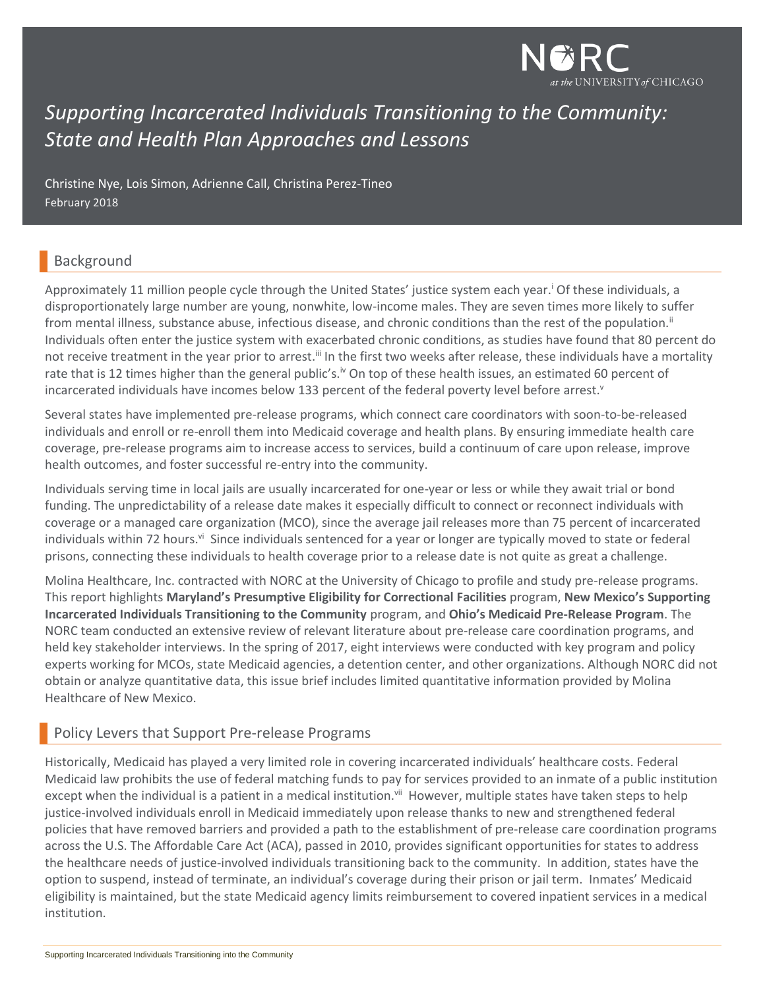

# *Supporting Incarcerated Individuals Transitioning to the Community: State and Health Plan Approaches and Lessons*

Christine Nye, Lois Simon, Adrienne Call, Christina Perez-Tineo February 2018

### Background

Approximately 11 million people cycle through the United States' justice system each year.<sup>1</sup> Of these individuals, a disproportionately large number are young, nonwhite, low-income males. They are seven times more likely to suffer from mental illness, substance abuse, infectious disease, and chronic conditions than the rest of the population.<sup>ii</sup> Individuals often enter the justice system with exacerbated chronic conditions, as studies have found that 80 percent do not receive treatment in the year prior to arrest.<sup>iii</sup> In the first two weeks after release, these individuals have a mortality rate that is 12 times higher than the general public's.<sup>iv</sup> On top of these health issues, an estimated 60 percent of incarcerated individuals have incomes below 133 percent of the federal poverty level before arrest.<sup>v</sup>

Several states have implemented pre-release programs, which connect care coordinators with soon-to-be-released individuals and enroll or re-enroll them into Medicaid coverage and health plans. By ensuring immediate health care coverage, pre-release programs aim to increase access to services, build a continuum of care upon release, improve health outcomes, and foster successful re-entry into the community.

Individuals serving time in local jails are usually incarcerated for one-year or less or while they await trial or bond funding. The unpredictability of a release date makes it especially difficult to connect or reconnect individuals with coverage or a managed care organization (MCO), since the average jail releases more than 75 percent of incarcerated individuals within 72 hours.<sup>vi</sup> Since individuals sentenced for a year or longer are typically moved to state or federal prisons, connecting these individuals to health coverage prior to a release date is not quite as great a challenge.

Molina Healthcare, Inc. contracted with NORC at the University of Chicago to profile and study pre-release programs. This report highlights **Maryland's Presumptive Eligibility for Correctional Facilities** program, **New Mexico's Supporting Incarcerated Individuals Transitioning to the Community** program, and **Ohio's Medicaid Pre-Release Program**. The NORC team conducted an extensive review of relevant literature about pre-release care coordination programs, and held key stakeholder interviews. In the spring of 2017, eight interviews were conducted with key program and policy experts working for MCOs, state Medicaid agencies, a detention center, and other organizations. Although NORC did not obtain or analyze quantitative data, this issue brief includes limited quantitative information provided by Molina Healthcare of New Mexico.

### Policy Levers that Support Pre-release Programs

Historically, Medicaid has played a very limited role in covering incarcerated individuals' healthcare costs. Federal Medicaid law prohibits the use of federal matching funds to pay for services provided to an inmate of a public institution except when the individual is a patient in a medical institution.<sup>vii</sup> However, multiple states have taken steps to help justice-involved individuals enroll in Medicaid immediately upon release thanks to new and strengthened federal policies that have removed barriers and provided a path to the establishment of pre-release care coordination programs across the U.S. The Affordable Care Act (ACA), passed in 2010, provides significant opportunities for states to address the healthcare needs of justice-involved individuals transitioning back to the community. In addition, states have the option to suspend, instead of terminate, an individual's coverage during their prison or jail term. Inmates' Medicaid eligibility is maintained, but the state Medicaid agency limits reimbursement to covered inpatient services in a medical institution.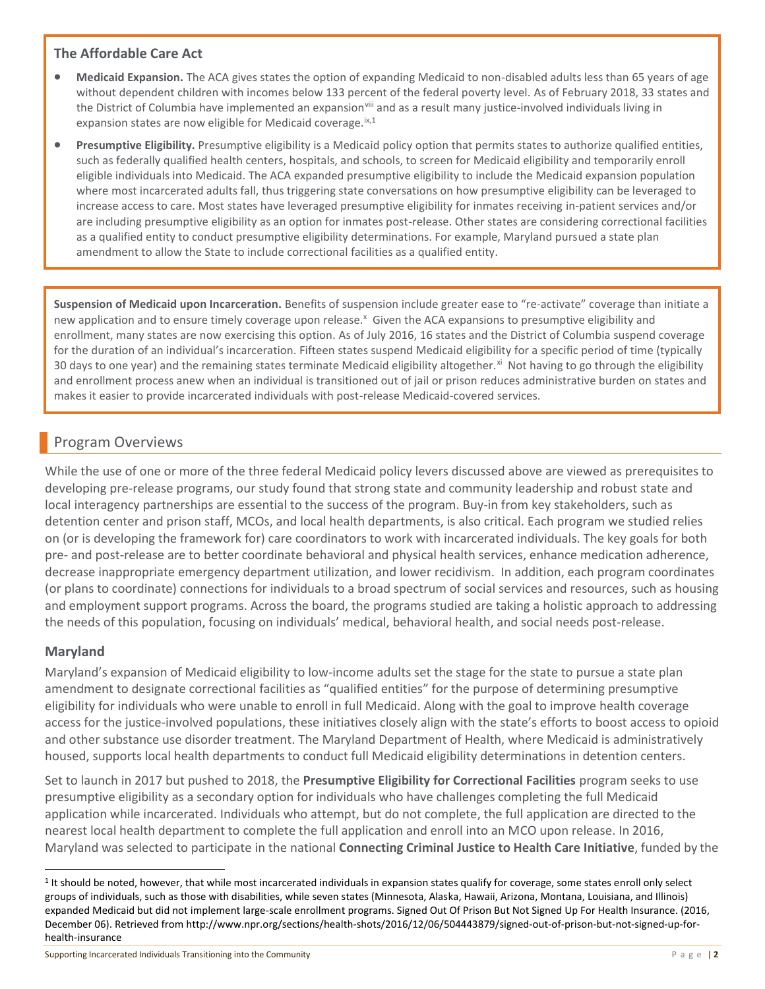#### **The Affordable Care Act**

- **Medicaid Expansion.** The ACA gives states the option of expanding Medicaid to non-disabled adults less than 65 years of age without dependent children with incomes below 133 percent of the federal poverty level. As of February 2018, 33 states and the District of Columbia have implemented an expansion<sup>viii</sup> and as a result many justice-involved individuals living in expansion states are now eligible for Medicaid coverage. $ix,1$
- **Presumptive Eligibility.** Presumptive eligibility is a Medicaid policy option that permits states to authorize qualified entities, such as federally qualified health centers, hospitals, and schools, to screen for Medicaid eligibility and temporarily enroll eligible individuals into Medicaid. The ACA expanded presumptive eligibility to include the Medicaid expansion population where most incarcerated adults fall, thus triggering state conversations on how presumptive eligibility can be leveraged to increase access to care. Most states have leveraged presumptive eligibility for inmates receiving in-patient services and/or are including presumptive eligibility as an option for inmates post-release. Other states are considering correctional facilities as a qualified entity to conduct presumptive eligibility determinations. For example, Maryland pursued a state plan amendment to allow the State to include correctional facilities as a qualified entity.

**Suspension of Medicaid upon Incarceration.** Benefits of suspension include greater ease to "re-activate" coverage than initiate a new application and to ensure timely coverage upon release.<sup>x</sup> Given the ACA expansions to presumptive eligibility and enrollment, many states are now exercising this option. As of July 2016, 16 states and the District of Columbia suspend coverage for the duration of an individual's incarceration. Fifteen states suspend Medicaid eligibility for a specific period of time (typically 30 days to one year) and the remaining states terminate Medicaid eligibility altogether.<sup>xi</sup> Not having to go through the eligibility and enrollment process anew when an individual is transitioned out of jail or prison reduces administrative burden on states and makes it easier to provide incarcerated individuals with post-release Medicaid-covered services.

### Program Overviews

While the use of one or more of the three federal Medicaid policy levers discussed above are viewed as prerequisites to developing pre-release programs, our study found that strong state and community leadership and robust state and local interagency partnerships are essential to the success of the program. Buy-in from key stakeholders, such as detention center and prison staff, MCOs, and local health departments, is also critical. Each program we studied relies on (or is developing the framework for) care coordinators to work with incarcerated individuals. The key goals for both pre- and post-release are to better coordinate behavioral and physical health services, enhance medication adherence, decrease inappropriate emergency department utilization, and lower recidivism. In addition, each program coordinates (or plans to coordinate) connections for individuals to a broad spectrum of social services and resources, such as housing and employment support programs. Across the board, the programs studied are taking a holistic approach to addressing the needs of this population, focusing on individuals' medical, behavioral health, and social needs post-release.

### **Maryland**

 $\overline{a}$ 

Maryland's expansion of Medicaid eligibility to low-income adults set the stage for the state to pursue a state plan amendment to designate correctional facilities as "qualified entities" for the purpose of determining presumptive eligibility for individuals who were unable to enroll in full Medicaid. Along with the goal to improve health coverage access for the justice-involved populations, these initiatives closely align with the state's efforts to boost access to opioid and other substance use disorder treatment. The Maryland Department of Health, where Medicaid is administratively housed, supports local health departments to conduct full Medicaid eligibility determinations in detention centers.

Set to launch in 2017 but pushed to 2018, the **Presumptive Eligibility for Correctional Facilities** program seeks to use presumptive eligibility as a secondary option for individuals who have challenges completing the full Medicaid application while incarcerated. Individuals who attempt, but do not complete, the full application are directed to the nearest local health department to complete the full application and enroll into an MCO upon release. In 2016, Maryland was selected to participate in the national **Connecting Criminal Justice to Health Care Initiative**, funded by the

<sup>&</sup>lt;sup>1</sup> It should be noted, however, that while most incarcerated individuals in expansion states qualify for coverage, some states enroll only select groups of individuals, such as those with disabilities, while seven states (Minnesota, Alaska, Hawaii, Arizona, Montana, Louisiana, and Illinois) expanded Medicaid but did not implement large-scale enrollment programs. Signed Out Of Prison But Not Signed Up For Health Insurance. (2016, December 06). Retrieved from http://www.npr.org/sections/health-shots/2016/12/06/504443879/signed-out-of-prison-but-not-signed-up-forhealth-insurance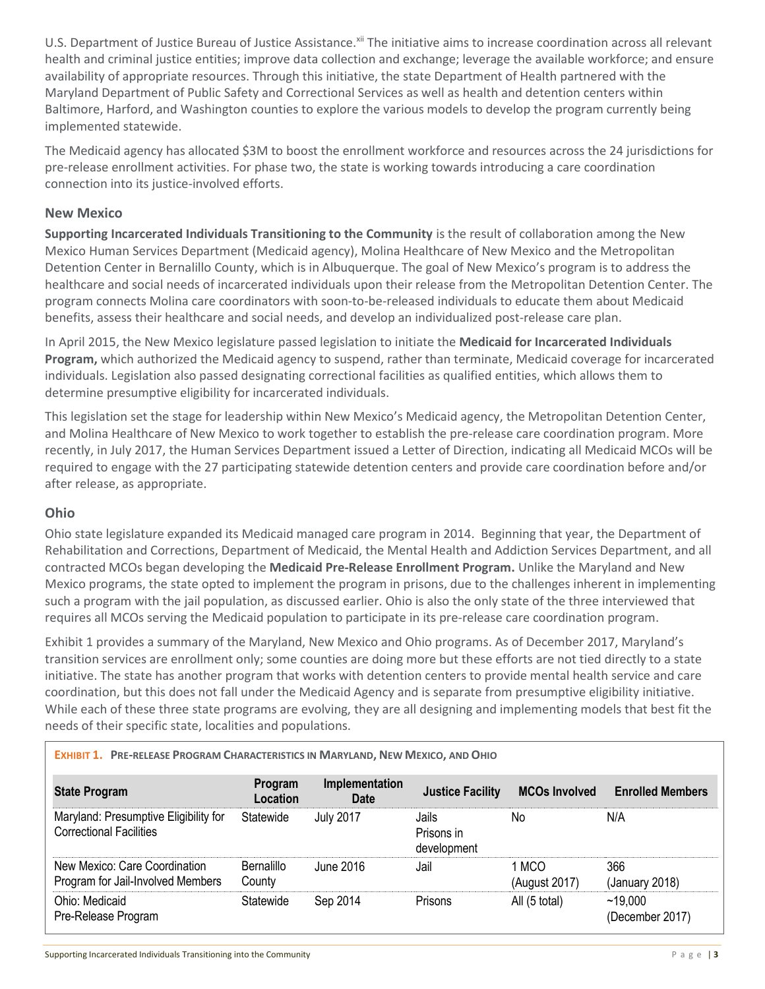U.S. Department of Justice Bureau of Justice Assistance.<sup>xii</sup> The initiative aims to increase coordination across all relevant health and criminal justice entities; improve data collection and exchange; leverage the available workforce; and ensure availability of appropriate resources. Through this initiative, the state Department of Health partnered with the Maryland Department of Public Safety and Correctional Services as well as health and detention centers within Baltimore, Harford, and Washington counties to explore the various models to develop the program currently being implemented statewide.

The Medicaid agency has allocated \$3M to boost the enrollment workforce and resources across the 24 jurisdictions for pre-release enrollment activities. For phase two, the state is working towards introducing a care coordination connection into its justice-involved efforts.

#### **New Mexico**

**Supporting Incarcerated Individuals Transitioning to the Community** is the result of collaboration among the New Mexico Human Services Department (Medicaid agency), Molina Healthcare of New Mexico and the Metropolitan Detention Center in Bernalillo County, which is in Albuquerque. The goal of New Mexico's program is to address the healthcare and social needs of incarcerated individuals upon their release from the Metropolitan Detention Center. The program connects Molina care coordinators with soon-to-be-released individuals to educate them about Medicaid benefits, assess their healthcare and social needs, and develop an individualized post-release care plan.

In April 2015, the New Mexico legislature passed legislation to initiate the **Medicaid for Incarcerated Individuals Program,** which authorized the Medicaid agency to suspend, rather than terminate, Medicaid coverage for incarcerated individuals. Legislation also passed designating correctional facilities as qualified entities, which allows them to determine presumptive eligibility for incarcerated individuals.

This legislation set the stage for leadership within New Mexico's Medicaid agency, the Metropolitan Detention Center, and Molina Healthcare of New Mexico to work together to establish the pre-release care coordination program. More recently, in July 2017, the Human Services Department issued a Letter of Direction, indicating all Medicaid MCOs will be required to engage with the 27 participating statewide detention centers and provide care coordination before and/or after release, as appropriate.

#### **Ohio**

Ohio state legislature expanded its Medicaid managed care program in 2014. Beginning that year, the Department of Rehabilitation and Corrections, Department of Medicaid, the Mental Health and Addiction Services Department, and all contracted MCOs began developing the **Medicaid Pre-Release Enrollment Program.** Unlike the Maryland and New Mexico programs, the state opted to implement the program in prisons, due to the challenges inherent in implementing such a program with the jail population, as discussed earlier. Ohio is also the only state of the three interviewed that requires all MCOs serving the Medicaid population to participate in its pre-release care coordination program.

Exhibit 1 provides a summary of the Maryland, New Mexico and Ohio programs. As of December 2017, Maryland's transition services are enrollment only; some counties are doing more but these efforts are not tied directly to a state initiative. The state has another program that works with detention centers to provide mental health service and care coordination, but this does not fall under the Medicaid Agency and is separate from presumptive eligibility initiative. While each of these three state programs are evolving, they are all designing and implementing models that best fit the needs of their specific state, localities and populations.

| EXHIBIT 1. PRE-RELEASE PROGRAM CHARACTERISTICS IN MARYLAND, NEW MEXICO, AND OHIO |                             |                        |                                    |                        |                            |
|----------------------------------------------------------------------------------|-----------------------------|------------------------|------------------------------------|------------------------|----------------------------|
| <b>State Program</b>                                                             | Program<br>Location         | Implementation<br>Date | <b>Justice Facility</b>            | <b>MCOs Involved</b>   | <b>Enrolled Members</b>    |
| Maryland: Presumptive Eligibility for<br><b>Correctional Facilities</b>          | Statewide                   | <b>July 2017</b>       | Jails<br>Prisons in<br>development | No                     | N/A                        |
| New Mexico: Care Coordination<br>Program for Jail-Involved Members               | <b>Bernalillo</b><br>County | June 2016              | Jail                               | 1 MCO<br>(August 2017) | 366<br>(January 2018)      |
| Ohio: Medicaid<br>Pre-Release Program                                            | Statewide                   | Sep 2014               | Prisons                            | All (5 total)          | ~19,000<br>(December 2017) |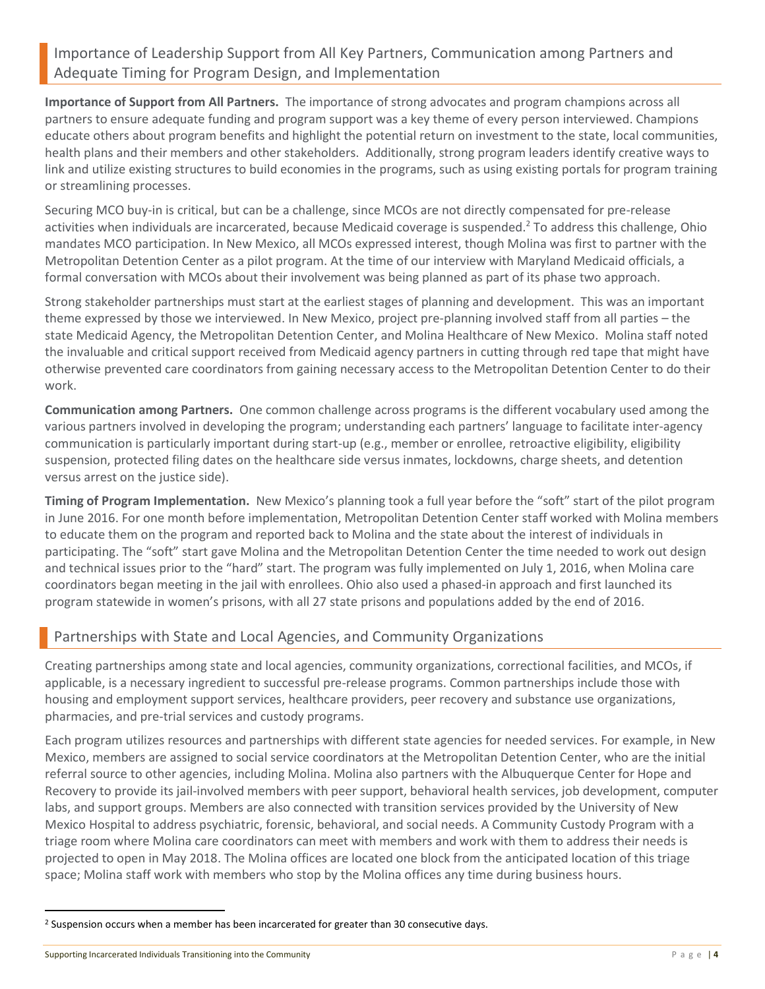### Importance of Leadership Support from All Key Partners, Communication among Partners and Adequate Timing for Program Design, and Implementation

**Importance of Support from All Partners.** The importance of strong advocates and program champions across all partners to ensure adequate funding and program support was a key theme of every person interviewed. Champions educate others about program benefits and highlight the potential return on investment to the state, local communities, health plans and their members and other stakeholders. Additionally, strong program leaders identify creative ways to link and utilize existing structures to build economies in the programs, such as using existing portals for program training or streamlining processes.

Securing MCO buy-in is critical, but can be a challenge, since MCOs are not directly compensated for pre-release activities when individuals are incarcerated, because Medicaid coverage is suspended.<sup>2</sup> To address this challenge, Ohio mandates MCO participation. In New Mexico, all MCOs expressed interest, though Molina was first to partner with the Metropolitan Detention Center as a pilot program. At the time of our interview with Maryland Medicaid officials, a formal conversation with MCOs about their involvement was being planned as part of its phase two approach.

Strong stakeholder partnerships must start at the earliest stages of planning and development. This was an important theme expressed by those we interviewed. In New Mexico, project pre-planning involved staff from all parties – the state Medicaid Agency, the Metropolitan Detention Center, and Molina Healthcare of New Mexico. Molina staff noted the invaluable and critical support received from Medicaid agency partners in cutting through red tape that might have otherwise prevented care coordinators from gaining necessary access to the Metropolitan Detention Center to do their work.

**Communication among Partners.** One common challenge across programs is the different vocabulary used among the various partners involved in developing the program; understanding each partners' language to facilitate inter-agency communication is particularly important during start-up (e.g., member or enrollee, retroactive eligibility, eligibility suspension, protected filing dates on the healthcare side versus inmates, lockdowns, charge sheets, and detention versus arrest on the justice side).

**Timing of Program Implementation.** New Mexico's planning took a full year before the "soft" start of the pilot program in June 2016. For one month before implementation, Metropolitan Detention Center staff worked with Molina members to educate them on the program and reported back to Molina and the state about the interest of individuals in participating. The "soft" start gave Molina and the Metropolitan Detention Center the time needed to work out design and technical issues prior to the "hard" start. The program was fully implemented on July 1, 2016, when Molina care coordinators began meeting in the jail with enrollees. Ohio also used a phased-in approach and first launched its program statewide in women's prisons, with all 27 state prisons and populations added by the end of 2016.

### Partnerships with State and Local Agencies, and Community Organizations

Creating partnerships among state and local agencies, community organizations, correctional facilities, and MCOs, if applicable, is a necessary ingredient to successful pre-release programs. Common partnerships include those with housing and employment support services, healthcare providers, peer recovery and substance use organizations, pharmacies, and pre-trial services and custody programs.

Each program utilizes resources and partnerships with different state agencies for needed services. For example, in New Mexico, members are assigned to social service coordinators at the Metropolitan Detention Center, who are the initial referral source to other agencies, including Molina. Molina also partners with the Albuquerque Center for Hope and Recovery to provide its jail-involved members with peer support, behavioral health services, job development, computer labs, and support groups. Members are also connected with transition services provided by the University of New Mexico Hospital to address psychiatric, forensic, behavioral, and social needs. A Community Custody Program with a triage room where Molina care coordinators can meet with members and work with them to address their needs is projected to open in May 2018. The Molina offices are located one block from the anticipated location of this triage space; Molina staff work with members who stop by the Molina offices any time during business hours.

 $\overline{a}$ 

<sup>2</sup> Suspension occurs when a member has been incarcerated for greater than 30 consecutive days.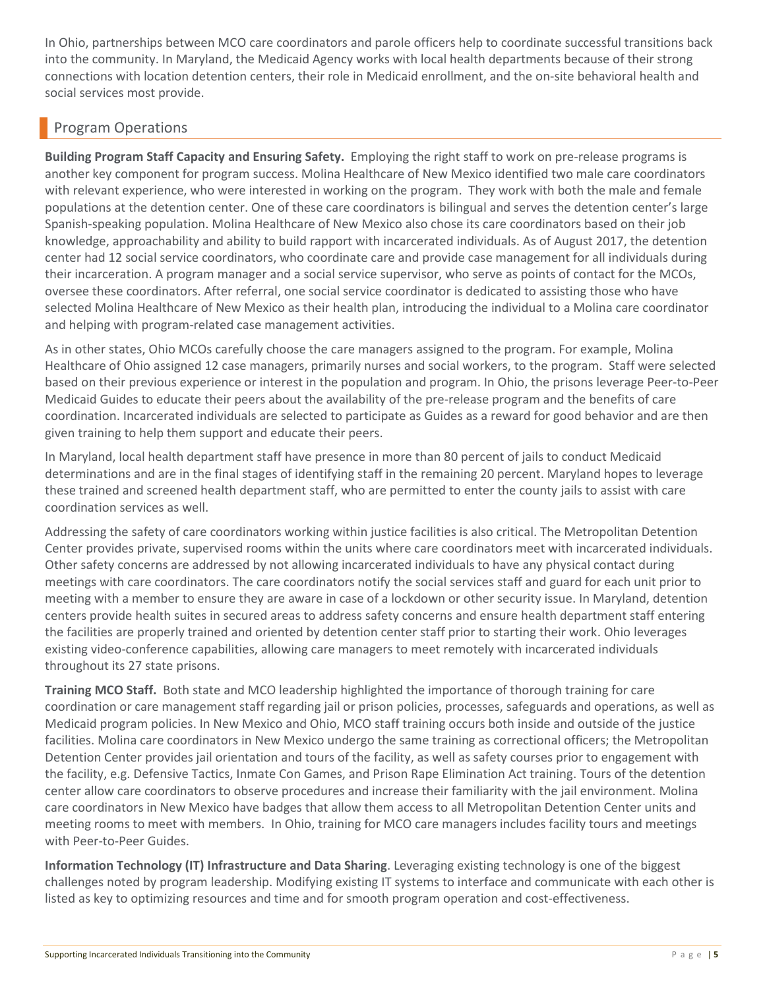In Ohio, partnerships between MCO care coordinators and parole officers help to coordinate successful transitions back into the community. In Maryland, the Medicaid Agency works with local health departments because of their strong connections with location detention centers, their role in Medicaid enrollment, and the on-site behavioral health and social services most provide.

# Program Operations

**Building Program Staff Capacity and Ensuring Safety.** Employing the right staff to work on pre-release programs is another key component for program success. Molina Healthcare of New Mexico identified two male care coordinators with relevant experience, who were interested in working on the program. They work with both the male and female populations at the detention center. One of these care coordinators is bilingual and serves the detention center's large Spanish-speaking population. Molina Healthcare of New Mexico also chose its care coordinators based on their job knowledge, approachability and ability to build rapport with incarcerated individuals. As of August 2017, the detention center had 12 social service coordinators, who coordinate care and provide case management for all individuals during their incarceration. A program manager and a social service supervisor, who serve as points of contact for the MCOs, oversee these coordinators. After referral, one social service coordinator is dedicated to assisting those who have selected Molina Healthcare of New Mexico as their health plan, introducing the individual to a Molina care coordinator and helping with program-related case management activities.

As in other states, Ohio MCOs carefully choose the care managers assigned to the program. For example, Molina Healthcare of Ohio assigned 12 case managers, primarily nurses and social workers, to the program. Staff were selected based on their previous experience or interest in the population and program. In Ohio, the prisons leverage Peer-to-Peer Medicaid Guides to educate their peers about the availability of the pre-release program and the benefits of care coordination. Incarcerated individuals are selected to participate as Guides as a reward for good behavior and are then given training to help them support and educate their peers.

In Maryland, local health department staff have presence in more than 80 percent of jails to conduct Medicaid determinations and are in the final stages of identifying staff in the remaining 20 percent. Maryland hopes to leverage these trained and screened health department staff, who are permitted to enter the county jails to assist with care coordination services as well.

Addressing the safety of care coordinators working within justice facilities is also critical. The Metropolitan Detention Center provides private, supervised rooms within the units where care coordinators meet with incarcerated individuals. Other safety concerns are addressed by not allowing incarcerated individuals to have any physical contact during meetings with care coordinators. The care coordinators notify the social services staff and guard for each unit prior to meeting with a member to ensure they are aware in case of a lockdown or other security issue. In Maryland, detention centers provide health suites in secured areas to address safety concerns and ensure health department staff entering the facilities are properly trained and oriented by detention center staff prior to starting their work. Ohio leverages existing video-conference capabilities, allowing care managers to meet remotely with incarcerated individuals throughout its 27 state prisons.

**Training MCO Staff.** Both state and MCO leadership highlighted the importance of thorough training for care coordination or care management staff regarding jail or prison policies, processes, safeguards and operations, as well as Medicaid program policies. In New Mexico and Ohio, MCO staff training occurs both inside and outside of the justice facilities. Molina care coordinators in New Mexico undergo the same training as correctional officers; the Metropolitan Detention Center provides jail orientation and tours of the facility, as well as safety courses prior to engagement with the facility, e.g. Defensive Tactics, Inmate Con Games, and Prison Rape Elimination Act training. Tours of the detention center allow care coordinators to observe procedures and increase their familiarity with the jail environment. Molina care coordinators in New Mexico have badges that allow them access to all Metropolitan Detention Center units and meeting rooms to meet with members. In Ohio, training for MCO care managers includes facility tours and meetings with Peer-to-Peer Guides.

**Information Technology (IT) Infrastructure and Data Sharing**. Leveraging existing technology is one of the biggest challenges noted by program leadership. Modifying existing IT systems to interface and communicate with each other is listed as key to optimizing resources and time and for smooth program operation and cost-effectiveness.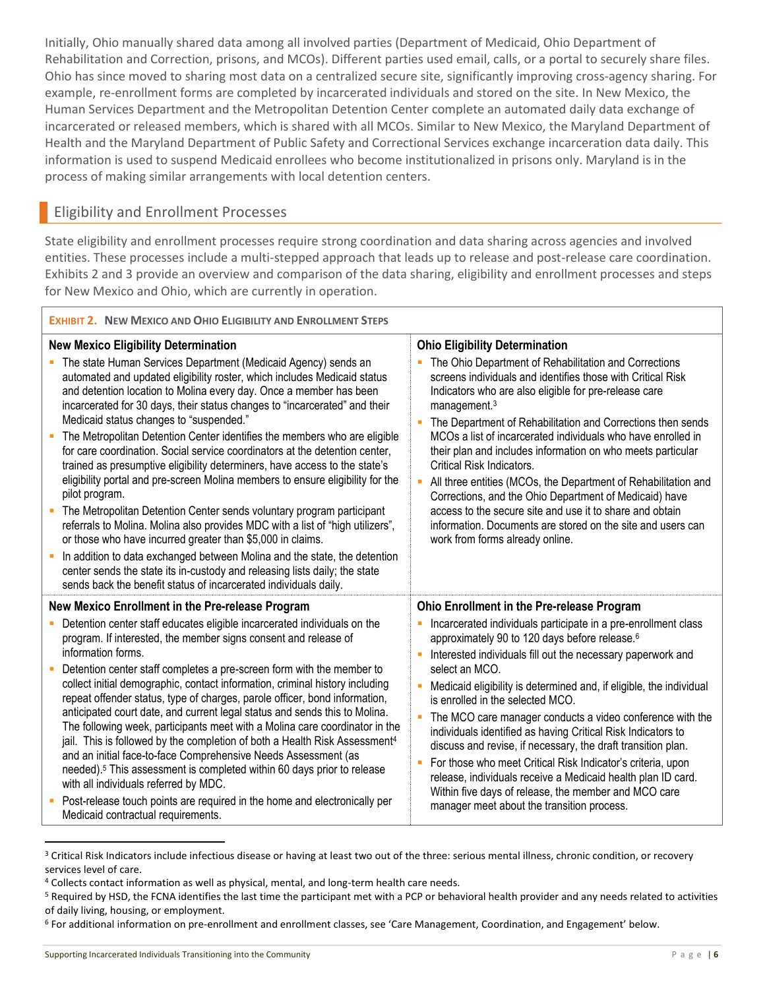Initially, Ohio manually shared data among all involved parties (Department of Medicaid, Ohio Department of Rehabilitation and Correction, prisons, and MCOs). Different parties used email, calls, or a portal to securely share files. Ohio has since moved to sharing most data on a centralized secure site, significantly improving cross-agency sharing. For example, re-enrollment forms are completed by incarcerated individuals and stored on the site. In New Mexico, the Human Services Department and the Metropolitan Detention Center complete an automated daily data exchange of incarcerated or released members, which is shared with all MCOs. Similar to New Mexico, the Maryland Department of Health and the Maryland Department of Public Safety and Correctional Services exchange incarceration data daily. This information is used to suspend Medicaid enrollees who become institutionalized in prisons only. Maryland is in the process of making similar arrangements with local detention centers.

## Eligibility and Enrollment Processes

State eligibility and enrollment processes require strong coordination and data sharing across agencies and involved entities. These processes include a multi-stepped approach that leads up to release and post-release care coordination. Exhibits 2 and 3 provide an overview and comparison of the data sharing, eligibility and enrollment processes and steps for New Mexico and Ohio, which are currently in operation.

| <b>EXHIBIT 2. NEW MEXICO AND OHIO ELIGIBILITY AND ENROLLMENT STEPS</b>                                                                                                                                                                                                                                                                                                                                                                                                                                                                                                                                                                                                                                                                                                                                                                                                                                                                                                                                                                                                                                                                                                                         |                                                                                                                                                                                                                                                                                                                                                                                                                                                                                                                                                                                                                                                                                                                                                                                                                        |  |  |  |  |
|------------------------------------------------------------------------------------------------------------------------------------------------------------------------------------------------------------------------------------------------------------------------------------------------------------------------------------------------------------------------------------------------------------------------------------------------------------------------------------------------------------------------------------------------------------------------------------------------------------------------------------------------------------------------------------------------------------------------------------------------------------------------------------------------------------------------------------------------------------------------------------------------------------------------------------------------------------------------------------------------------------------------------------------------------------------------------------------------------------------------------------------------------------------------------------------------|------------------------------------------------------------------------------------------------------------------------------------------------------------------------------------------------------------------------------------------------------------------------------------------------------------------------------------------------------------------------------------------------------------------------------------------------------------------------------------------------------------------------------------------------------------------------------------------------------------------------------------------------------------------------------------------------------------------------------------------------------------------------------------------------------------------------|--|--|--|--|
| <b>New Mexico Eligibility Determination</b><br>The state Human Services Department (Medicaid Agency) sends an<br>automated and updated eligibility roster, which includes Medicaid status<br>and detention location to Molina every day. Once a member has been<br>incarcerated for 30 days, their status changes to "incarcerated" and their<br>Medicaid status changes to "suspended."<br>The Metropolitan Detention Center identifies the members who are eligible<br>for care coordination. Social service coordinators at the detention center,<br>trained as presumptive eligibility determiners, have access to the state's<br>eligibility portal and pre-screen Molina members to ensure eligibility for the<br>pilot program.<br>The Metropolitan Detention Center sends voluntary program participant<br>referrals to Molina. Molina also provides MDC with a list of "high utilizers",<br>or those who have incurred greater than \$5,000 in claims.<br>In addition to data exchanged between Molina and the state, the detention<br>center sends the state its in-custody and releasing lists daily; the state<br>sends back the benefit status of incarcerated individuals daily. | <b>Ohio Eligibility Determination</b><br>The Ohio Department of Rehabilitation and Corrections<br>screens individuals and identifies those with Critical Risk<br>Indicators who are also eligible for pre-release care<br>management. <sup>3</sup><br>The Department of Rehabilitation and Corrections then sends<br>MCOs a list of incarcerated individuals who have enrolled in<br>their plan and includes information on who meets particular<br>Critical Risk Indicators.<br>• All three entities (MCOs, the Department of Rehabilitation and<br>Corrections, and the Ohio Department of Medicaid) have<br>access to the secure site and use it to share and obtain<br>information. Documents are stored on the site and users can<br>work from forms already online.                                              |  |  |  |  |
| New Mexico Enrollment in the Pre-release Program<br>Detention center staff educates eligible incarcerated individuals on the<br>program. If interested, the member signs consent and release of<br>information forms.<br>Detention center staff completes a pre-screen form with the member to<br>collect initial demographic, contact information, criminal history including<br>repeat offender status, type of charges, parole officer, bond information,<br>anticipated court date, and current legal status and sends this to Molina.<br>The following week, participants meet with a Molina care coordinator in the<br>jail. This is followed by the completion of both a Health Risk Assessment <sup>4</sup><br>and an initial face-to-face Comprehensive Needs Assessment (as<br>needed). <sup>5</sup> This assessment is completed within 60 days prior to release<br>with all individuals referred by MDC.<br>Post-release touch points are required in the home and electronically per<br>Medicaid contractual requirements.                                                                                                                                                        | Ohio Enrollment in the Pre-release Program<br>Incarcerated individuals participate in a pre-enrollment class<br>approximately 90 to 120 days before release. <sup>6</sup><br>Interested individuals fill out the necessary paperwork and<br>select an MCO.<br>Medicaid eligibility is determined and, if eligible, the individual<br>ш<br>is enrolled in the selected MCO.<br>ш<br>The MCO care manager conducts a video conference with the<br>individuals identified as having Critical Risk Indicators to<br>discuss and revise, if necessary, the draft transition plan.<br>For those who meet Critical Risk Indicator's criteria, upon<br>ш<br>release, individuals receive a Medicaid health plan ID card.<br>Within five days of release, the member and MCO care<br>manager meet about the transition process. |  |  |  |  |

<sup>&</sup>lt;sup>3</sup> Critical Risk Indicators include infectious disease or having at least two out of the three: serious mental illness, chronic condition, or recovery services level of care.

 $\overline{\phantom{a}}$ 

<sup>4</sup> Collects contact information as well as physical, mental, and long-term health care needs.

<sup>&</sup>lt;sup>5</sup> Required by HSD, the FCNA identifies the last time the participant met with a PCP or behavioral health provider and any needs related to activities of daily living, housing, or employment.

<sup>6</sup> For additional information on pre-enrollment and enrollment classes, see 'Care Management, Coordination, and Engagement' below.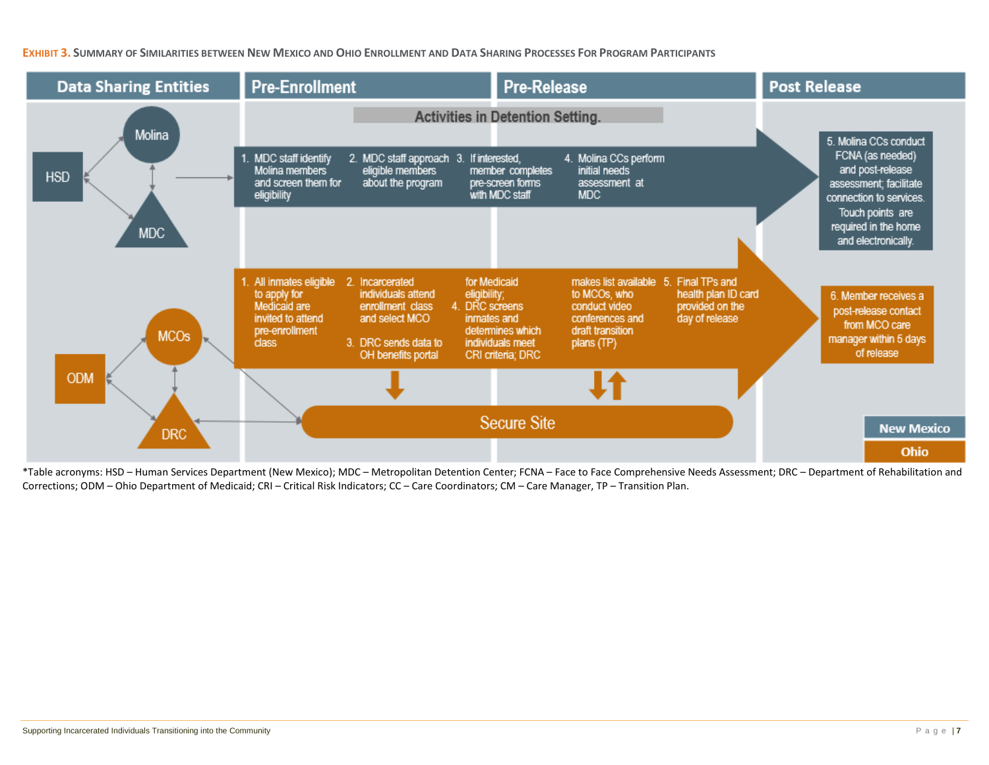EXHIBIT 3. SUMMARY OF SIMILARITIES BETWEEN NEW MEXICO AND OHIO ENROLLMENT AND DATA SHARING PROCESSES FOR PROGRAM PARTICIPANTS



\*Table acronyms: HSD – Human Services Department (New Mexico); MDC – Metropolitan Detention Center; FCNA – Face to Face Comprehensive Needs Assessment; DRC – Department of Rehabilitation and Corrections; ODM – Ohio Department of Medicaid; CRI – Critical Risk Indicators; CC – Care Coordinators; CM – Care Manager, TP – Transition Plan.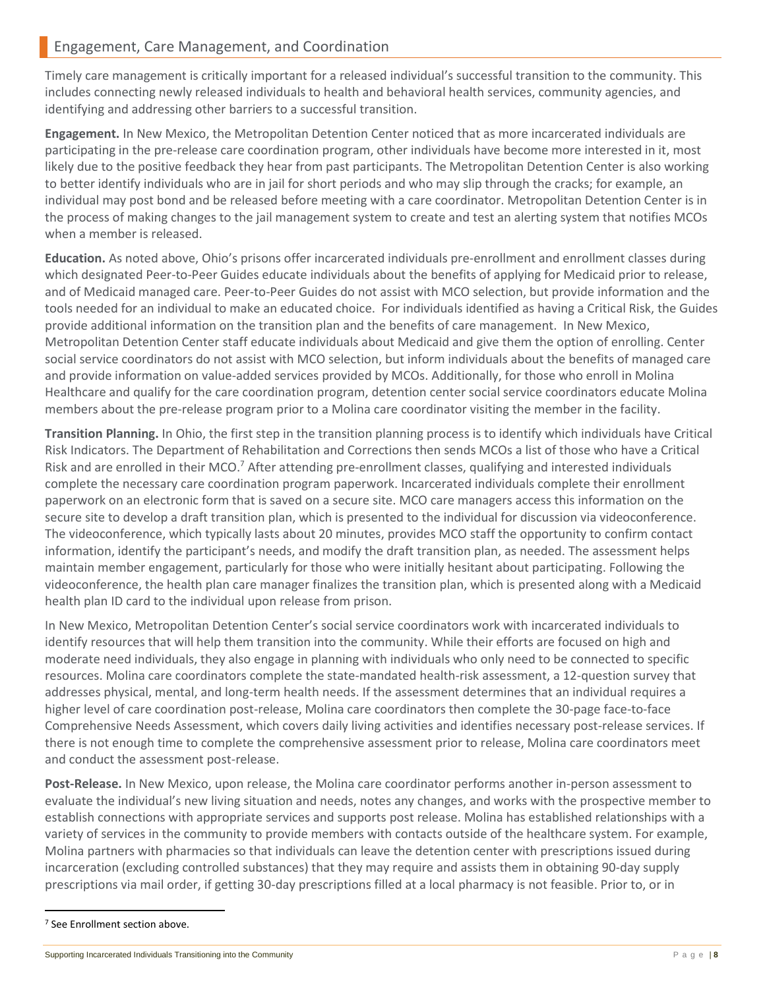Timely care management is critically important for a released individual's successful transition to the community. This includes connecting newly released individuals to health and behavioral health services, community agencies, and identifying and addressing other barriers to a successful transition.

**Engagement.** In New Mexico, the Metropolitan Detention Center noticed that as more incarcerated individuals are participating in the pre-release care coordination program, other individuals have become more interested in it, most likely due to the positive feedback they hear from past participants. The Metropolitan Detention Center is also working to better identify individuals who are in jail for short periods and who may slip through the cracks; for example, an individual may post bond and be released before meeting with a care coordinator. Metropolitan Detention Center is in the process of making changes to the jail management system to create and test an alerting system that notifies MCOs when a member is released.

**Education.** As noted above, Ohio's prisons offer incarcerated individuals pre-enrollment and enrollment classes during which designated Peer-to-Peer Guides educate individuals about the benefits of applying for Medicaid prior to release, and of Medicaid managed care. Peer-to-Peer Guides do not assist with MCO selection, but provide information and the tools needed for an individual to make an educated choice. For individuals identified as having a Critical Risk, the Guides provide additional information on the transition plan and the benefits of care management. In New Mexico, Metropolitan Detention Center staff educate individuals about Medicaid and give them the option of enrolling. Center social service coordinators do not assist with MCO selection, but inform individuals about the benefits of managed care and provide information on value-added services provided by MCOs. Additionally, for those who enroll in Molina Healthcare and qualify for the care coordination program, detention center social service coordinators educate Molina members about the pre-release program prior to a Molina care coordinator visiting the member in the facility.

**Transition Planning.** In Ohio, the first step in the transition planning process is to identify which individuals have Critical Risk Indicators. The Department of Rehabilitation and Corrections then sends MCOs a list of those who have a Critical Risk and are enrolled in their MCO.<sup>7</sup> After attending pre-enrollment classes, qualifying and interested individuals complete the necessary care coordination program paperwork. Incarcerated individuals complete their enrollment paperwork on an electronic form that is saved on a secure site. MCO care managers access this information on the secure site to develop a draft transition plan, which is presented to the individual for discussion via videoconference. The videoconference, which typically lasts about 20 minutes, provides MCO staff the opportunity to confirm contact information, identify the participant's needs, and modify the draft transition plan, as needed. The assessment helps maintain member engagement, particularly for those who were initially hesitant about participating. Following the videoconference, the health plan care manager finalizes the transition plan, which is presented along with a Medicaid health plan ID card to the individual upon release from prison.

In New Mexico, Metropolitan Detention Center's social service coordinators work with incarcerated individuals to identify resources that will help them transition into the community. While their efforts are focused on high and moderate need individuals, they also engage in planning with individuals who only need to be connected to specific resources. Molina care coordinators complete the state-mandated health-risk assessment, a 12-question survey that addresses physical, mental, and long-term health needs. If the assessment determines that an individual requires a higher level of care coordination post-release, Molina care coordinators then complete the 30-page face-to-face Comprehensive Needs Assessment, which covers daily living activities and identifies necessary post-release services. If there is not enough time to complete the comprehensive assessment prior to release, Molina care coordinators meet and conduct the assessment post-release.

**Post-Release.** In New Mexico, upon release, the Molina care coordinator performs another in-person assessment to evaluate the individual's new living situation and needs, notes any changes, and works with the prospective member to establish connections with appropriate services and supports post release. Molina has established relationships with a variety of services in the community to provide members with contacts outside of the healthcare system. For example, Molina partners with pharmacies so that individuals can leave the detention center with prescriptions issued during incarceration (excluding controlled substances) that they may require and assists them in obtaining 90-day supply prescriptions via mail order, if getting 30-day prescriptions filled at a local pharmacy is not feasible. Prior to, or in

 $\overline{a}$ 

<sup>7</sup> See Enrollment section above.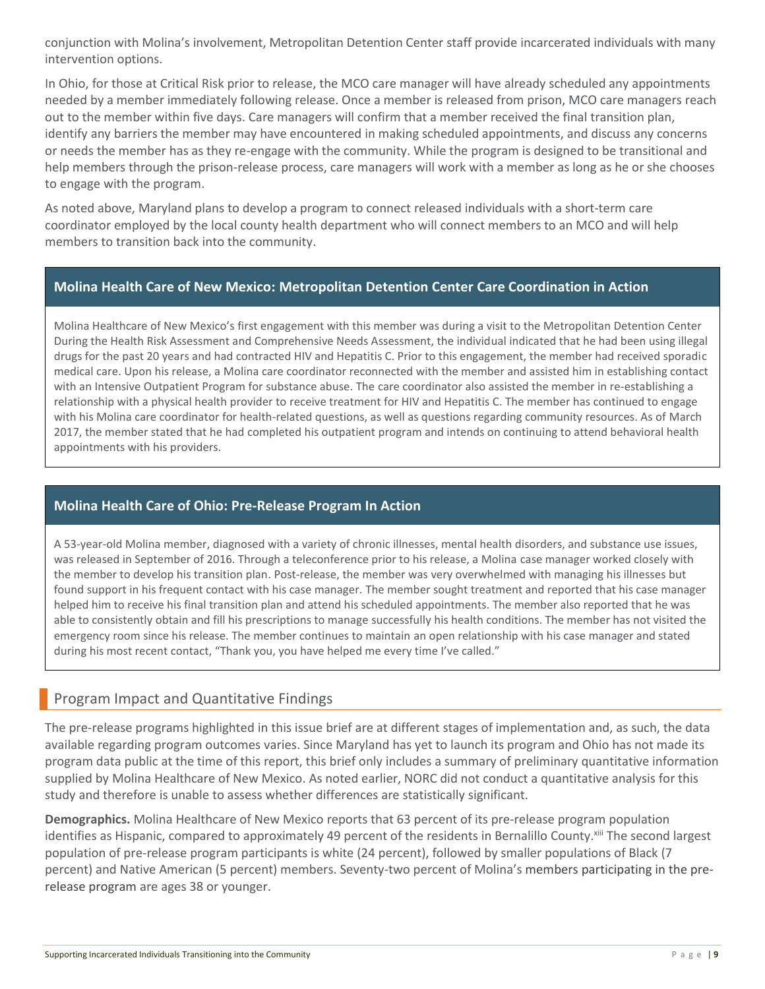conjunction with Molina's involvement, Metropolitan Detention Center staff provide incarcerated individuals with many intervention options.

In Ohio, for those at Critical Risk prior to release, the MCO care manager will have already scheduled any appointments needed by a member immediately following release. Once a member is released from prison, MCO care managers reach out to the member within five days. Care managers will confirm that a member received the final transition plan, identify any barriers the member may have encountered in making scheduled appointments, and discuss any concerns or needs the member has as they re-engage with the community. While the program is designed to be transitional and help members through the prison-release process, care managers will work with a member as long as he or she chooses to engage with the program.

As noted above, Maryland plans to develop a program to connect released individuals with a short-term care coordinator employed by the local county health department who will connect members to an MCO and will help members to transition back into the community.

#### **Molina Health Care of New Mexico: Metropolitan Detention Center Care Coordination in Action**

Molina Healthcare of New Mexico's first engagement with this member was during a visit to the Metropolitan Detention Center During the Health Risk Assessment and Comprehensive Needs Assessment, the individual indicated that he had been using illegal drugs for the past 20 years and had contracted HIV and Hepatitis C. Prior to this engagement, the member had received sporadic medical care. Upon his release, a Molina care coordinator reconnected with the member and assisted him in establishing contact with an Intensive Outpatient Program for substance abuse. The care coordinator also assisted the member in re-establishing a relationship with a physical health provider to receive treatment for HIV and Hepatitis C. The member has continued to engage with his Molina care coordinator for health-related questions, as well as questions regarding community resources. As of March 2017, the member stated that he had completed his outpatient program and intends on continuing to attend behavioral health appointments with his providers.

#### **Molina Health Care of Ohio: Pre-Release Program In Action**

A 53-year-old Molina member, diagnosed with a variety of chronic illnesses, mental health disorders, and substance use issues, was released in September of 2016. Through a teleconference prior to his release, a Molina case manager worked closely with the member to develop his transition plan. Post-release, the member was very overwhelmed with managing his illnesses but found support in his frequent contact with his case manager. The member sought treatment and reported that his case manager helped him to receive his final transition plan and attend his scheduled appointments. The member also reported that he was able to consistently obtain and fill his prescriptions to manage successfully his health conditions. The member has not visited the emergency room since his release. The member continues to maintain an open relationship with his case manager and stated during his most recent contact, "Thank you, you have helped me every time I've called."

### Program Impact and Quantitative Findings

The pre-release programs highlighted in this issue brief are at different stages of implementation and, as such, the data available regarding program outcomes varies. Since Maryland has yet to launch its program and Ohio has not made its program data public at the time of this report, this brief only includes a summary of preliminary quantitative information supplied by Molina Healthcare of New Mexico. As noted earlier, NORC did not conduct a quantitative analysis for this study and therefore is unable to assess whether differences are statistically significant.

**Demographics.** Molina Healthcare of New Mexico reports that 63 percent of its pre-release program population identifies as Hispanic, compared to approximately 49 percent of the residents in Bernalillo County.<sup>xiii</sup> The second largest population of pre-release program participants is white (24 percent), followed by smaller populations of Black (7 percent) and Native American (5 percent) members. Seventy-two percent of Molina's members participating in the prerelease program are ages 38 or younger.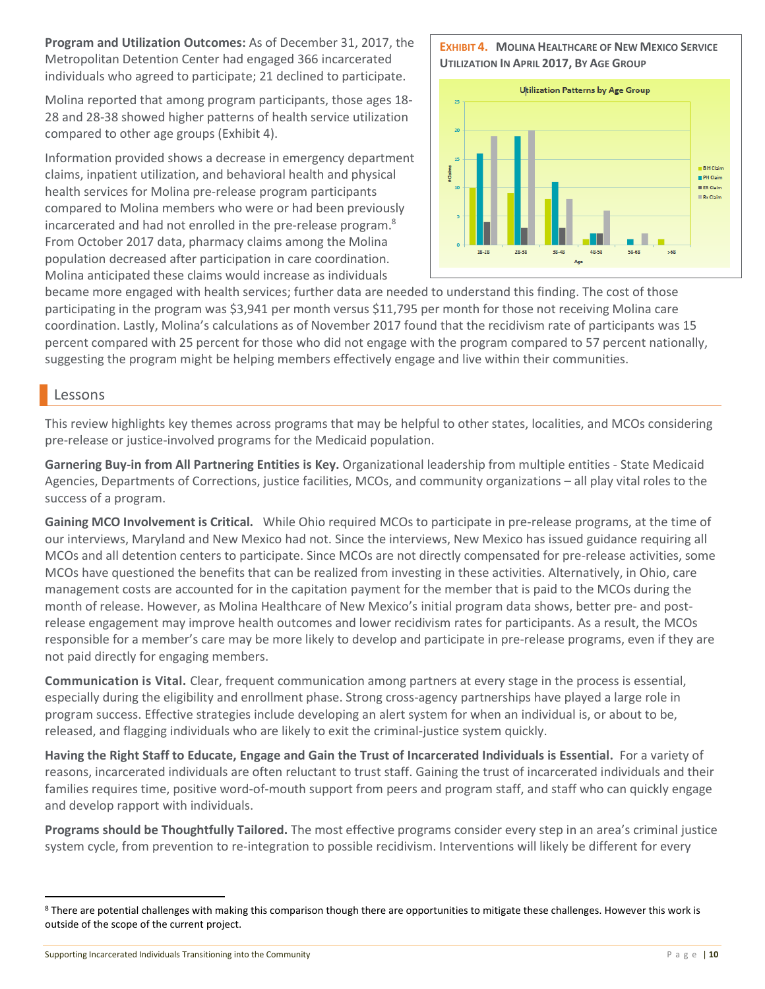**Program and Utilization Outcomes:** As of December 31, 2017, the Metropolitan Detention Center had engaged 366 incarcerated individuals who agreed to participate; 21 declined to participate.

Molina reported that among program participants, those ages 18- 28 and 28-38 showed higher patterns of health service utilization compared to other age groups (Exhibit 4).

Information provided shows a decrease in emergency department claims, inpatient utilization, and behavioral health and physical health services for Molina pre-release program participants compared to Molina members who were or had been previously incarcerated and had not enrolled in the pre-release program.<sup>8</sup> From October 2017 data, pharmacy claims among the Molina population decreased after participation in care coordination. Molina anticipated these claims would increase as individuals

#### **EXHIBIT 4. MOLINA HEALTHCARE OF NEW MEXICO SERVICE UTILIZATION IN APRIL 2017, BY AGE GROUP**



became more engaged with health services; further data are needed to understand this finding. The cost of those participating in the program was \$3,941 per month versus \$11,795 per month for those not receiving Molina care coordination. Lastly, Molina's calculations as of November 2017 found that the recidivism rate of participants was 15 percent compared with 25 percent for those who did not engage with the program compared to 57 percent nationally, suggesting the program might be helping members effectively engage and live within their communities.

### Lessons

 $\overline{a}$ 

This review highlights key themes across programs that may be helpful to other states, localities, and MCOs considering pre-release or justice-involved programs for the Medicaid population.

**Garnering Buy-in from All Partnering Entities is Key.** Organizational leadership from multiple entities - State Medicaid Agencies, Departments of Corrections, justice facilities, MCOs, and community organizations – all play vital roles to the success of a program.

**Gaining MCO Involvement is Critical.** While Ohio required MCOs to participate in pre-release programs, at the time of our interviews, Maryland and New Mexico had not. Since the interviews, New Mexico has issued guidance requiring all MCOs and all detention centers to participate. Since MCOs are not directly compensated for pre-release activities, some MCOs have questioned the benefits that can be realized from investing in these activities. Alternatively, in Ohio, care management costs are accounted for in the capitation payment for the member that is paid to the MCOs during the month of release. However, as Molina Healthcare of New Mexico's initial program data shows, better pre- and postrelease engagement may improve health outcomes and lower recidivism rates for participants. As a result, the MCOs responsible for a member's care may be more likely to develop and participate in pre-release programs, even if they are not paid directly for engaging members.

**Communication is Vital.** Clear, frequent communication among partners at every stage in the process is essential, especially during the eligibility and enrollment phase. Strong cross-agency partnerships have played a large role in program success. Effective strategies include developing an alert system for when an individual is, or about to be, released, and flagging individuals who are likely to exit the criminal-justice system quickly.

**Having the Right Staff to Educate, Engage and Gain the Trust of Incarcerated Individuals is Essential.** For a variety of reasons, incarcerated individuals are often reluctant to trust staff. Gaining the trust of incarcerated individuals and their families requires time, positive word-of-mouth support from peers and program staff, and staff who can quickly engage and develop rapport with individuals.

**Programs should be Thoughtfully Tailored.** The most effective programs consider every step in an area's criminal justice system cycle, from prevention to re-integration to possible recidivism. Interventions will likely be different for every

<sup>&</sup>lt;sup>8</sup> There are potential challenges with making this comparison though there are opportunities to mitigate these challenges. However this work is outside of the scope of the current project.

Supporting Incarcerated Individuals Transitioning into the Community **P** a g e | 10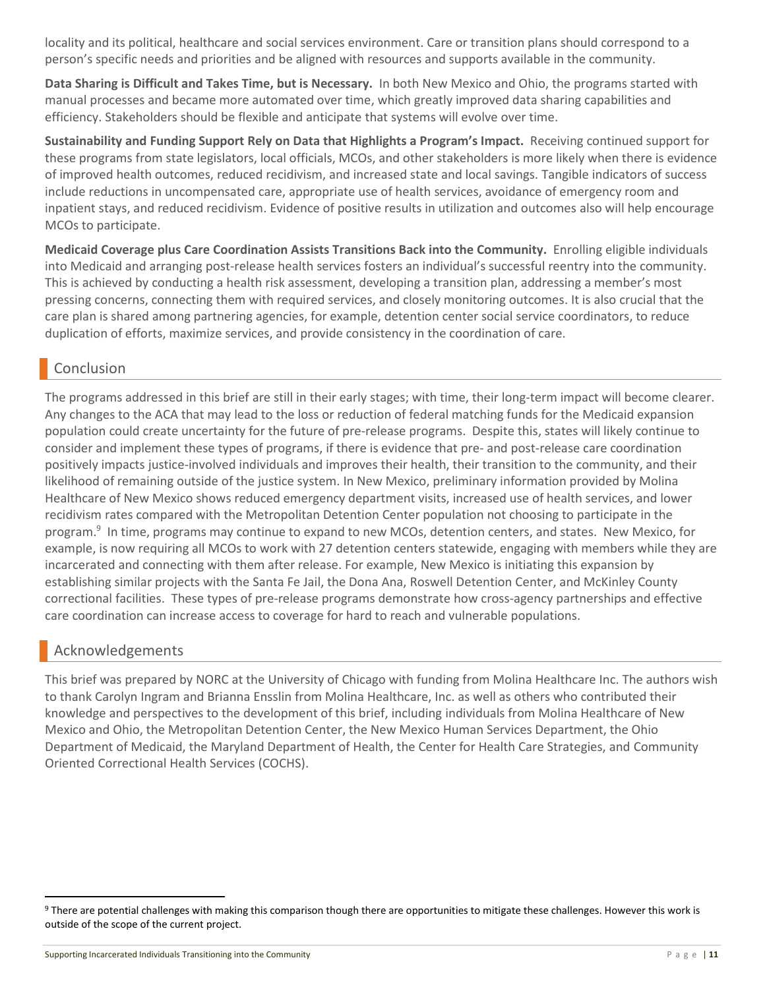locality and its political, healthcare and social services environment. Care or transition plans should correspond to a person's specific needs and priorities and be aligned with resources and supports available in the community.

**Data Sharing is Difficult and Takes Time, but is Necessary.** In both New Mexico and Ohio, the programs started with manual processes and became more automated over time, which greatly improved data sharing capabilities and efficiency. Stakeholders should be flexible and anticipate that systems will evolve over time.

**Sustainability and Funding Support Rely on Data that Highlights a Program's Impact.** Receiving continued support for these programs from state legislators, local officials, MCOs, and other stakeholders is more likely when there is evidence of improved health outcomes, reduced recidivism, and increased state and local savings. Tangible indicators of success include reductions in uncompensated care, appropriate use of health services, avoidance of emergency room and inpatient stays, and reduced recidivism. Evidence of positive results in utilization and outcomes also will help encourage MCOs to participate.

**Medicaid Coverage plus Care Coordination Assists Transitions Back into the Community.** Enrolling eligible individuals into Medicaid and arranging post-release health services fosters an individual's successful reentry into the community. This is achieved by conducting a health risk assessment, developing a transition plan, addressing a member's most pressing concerns, connecting them with required services, and closely monitoring outcomes. It is also crucial that the care plan is shared among partnering agencies, for example, detention center social service coordinators, to reduce duplication of efforts, maximize services, and provide consistency in the coordination of care.

## Conclusion

The programs addressed in this brief are still in their early stages; with time, their long-term impact will become clearer. Any changes to the ACA that may lead to the loss or reduction of federal matching funds for the Medicaid expansion population could create uncertainty for the future of pre-release programs. Despite this, states will likely continue to consider and implement these types of programs, if there is evidence that pre- and post-release care coordination positively impacts justice-involved individuals and improves their health, their transition to the community, and their likelihood of remaining outside of the justice system. In New Mexico, preliminary information provided by Molina Healthcare of New Mexico shows reduced emergency department visits, increased use of health services, and lower recidivism rates compared with the Metropolitan Detention Center population not choosing to participate in the program. 9 In time, programs may continue to expand to new MCOs, detention centers, and states. New Mexico, for example, is now requiring all MCOs to work with 27 detention centers statewide, engaging with members while they are incarcerated and connecting with them after release. For example, New Mexico is initiating this expansion by establishing similar projects with the Santa Fe Jail, the Dona Ana, Roswell Detention Center, and McKinley County correctional facilities. These types of pre-release programs demonstrate how cross-agency partnerships and effective care coordination can increase access to coverage for hard to reach and vulnerable populations.

### Acknowledgements

 $\overline{a}$ 

This brief was prepared by NORC at the University of Chicago with funding from Molina Healthcare Inc. The authors wish to thank Carolyn Ingram and Brianna Ensslin from Molina Healthcare, Inc. as well as others who contributed their knowledge and perspectives to the development of this brief, including individuals from Molina Healthcare of New Mexico and Ohio, the Metropolitan Detention Center, the New Mexico Human Services Department, the Ohio Department of Medicaid, the Maryland Department of Health, the Center for Health Care Strategies, and Community Oriented Correctional Health Services (COCHS).

<sup>&</sup>lt;sup>9</sup> There are potential challenges with making this comparison though there are opportunities to mitigate these challenges. However this work is outside of the scope of the current project.